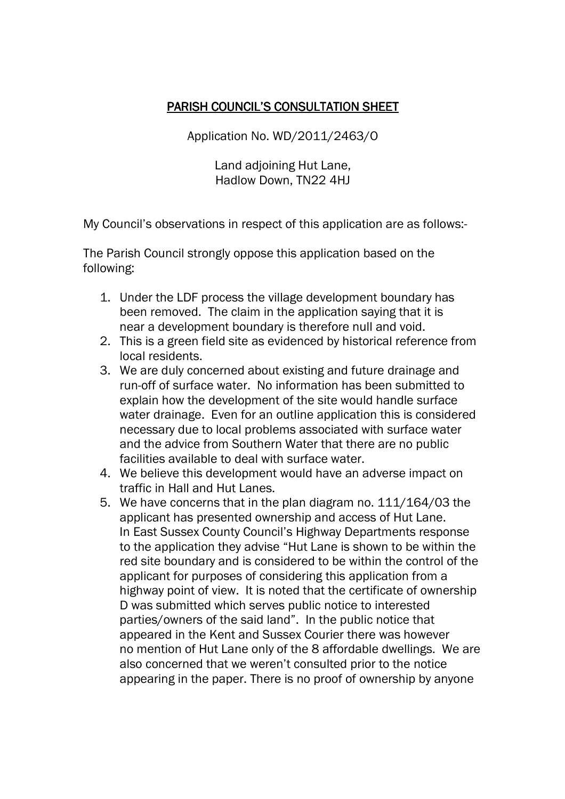## PARISH COUNCIL'S CONSULTATION SHEET

Application No. WD/2011/2463/O

Land adjoining Hut Lane, Hadlow Down, TN22 4HJ

My Council's observations in respect of this application are as follows:-

The Parish Council strongly oppose this application based on the following:

- 1. Under the LDF process the village development boundary has been removed. The claim in the application saying that it is near a development boundary is therefore null and void.
- 2. This is a green field site as evidenced by historical reference from local residents.
- 3. We are duly concerned about existing and future drainage and run-off of surface water. No information has been submitted to explain how the development of the site would handle surface water drainage. Even for an outline application this is considered necessary due to local problems associated with surface water and the advice from Southern Water that there are no public facilities available to deal with surface water.
- 4. We believe this development would have an adverse impact on traffic in Hall and Hut Lanes.
- 5. We have concerns that in the plan diagram no. 111/164/03 the applicant has presented ownership and access of Hut Lane. In East Sussex County Council's Highway Departments response to the application they advise "Hut Lane is shown to be within the red site boundary and is considered to be within the control of the applicant for purposes of considering this application from a highway point of view. It is noted that the certificate of ownership D was submitted which serves public notice to interested parties/owners of the said land". In the public notice that appeared in the Kent and Sussex Courier there was however no mention of Hut Lane only of the 8 affordable dwellings. We are also concerned that we weren't consulted prior to the notice appearing in the paper. There is no proof of ownership by anyone